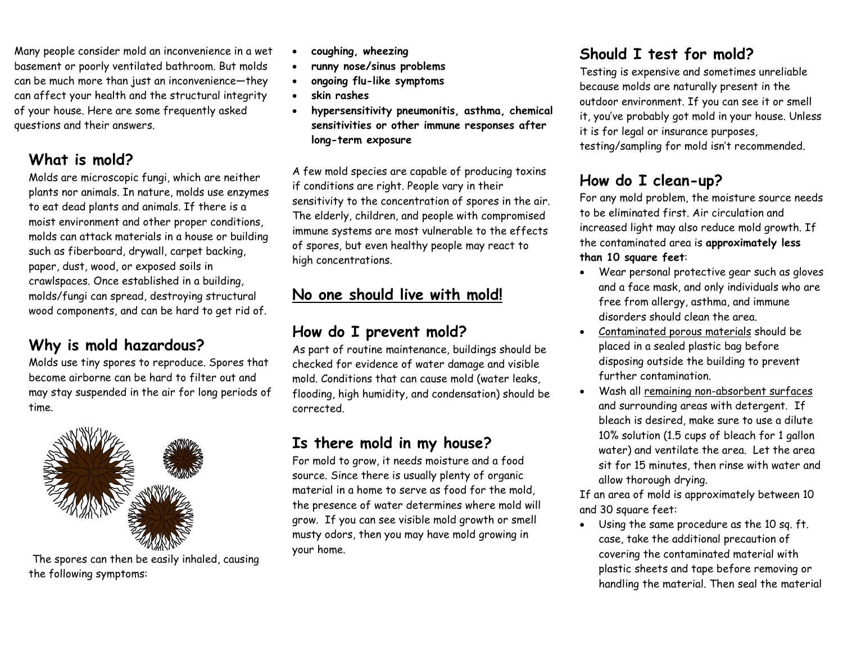Many people consider mold an inconvenience in a wet basement or poorly ventilated bathroom. But molds can be much more than just an inconvenience—they can affect your health and the structural integrity of your house. Here are some frequently asked questions and their answers.

#### **What is mold?**

Molds are microscopic fungi, which are neither plants nor animals. In nature, molds use enzymes to eat dead plants and animals. If there is a moist environment and other proper conditions, molds can attack materials in a house or building such as fiberboard, drywall, carpet backing, paper, dust, wood, or exposed soils in crawlspaces. Once established in a building, molds/fungi can spread, destroying structural wood components, and can be hard to get rid of.

#### **Why is mold hazardous?**

Molds use tiny spores to reproduce. Spores that become airborne can be hard to filter out and may stay suspended in the air for long periods of time.



The spores can then be easily inhaled, causing the following symptoms:

- **coughing, wheezing**
- **runny nose/sinus problems**
- **ongoing flu-like symptoms**
- **skin rashes**
- **hypersensitivity pneumonitis, asthma, chemical sensitivities or other immune responses after long-term exposure**

A few mold species are capable of producing toxins if conditions are right. People vary in their sensitivity to the concentration of spores in the air. The elderly, children, and people with compromised immune systems are most vulnerable to the effects of spores, but even healthy people may react to high concentrations.

### **No one should live with mold!**

#### **How do I prevent mold?**

As part of routine maintenance, buildings should be checked for evidence of water damage and visible mold. Conditions that can cause mold (water leaks, flooding, high humidity, and condensation) should be corrected.

## **Is there mold in my house?**

For mold to grow, it needs moisture and a food source. Since there is usually plenty of organic material in a home to serve as food for the mold, the presence of water determines where mold will grow. If you can see visible mold growth or smell musty odors, then you may have mold growing in your home.

# **Should I test for mold?**

Testing is expensive and sometimes unreliable because molds are naturally present in the outdoor environment. If you can see it or smell it, you've probably got mold in your house. Unless it is for legal or insurance purposes, testing/sampling for mold isn't recommended.

# **How do I clean-up?**

For any mold problem, the moisture source needs to be eliminated first. Air circulation and increased light may also reduce mold growth. If the contaminated area is **approximately less than 10 square feet**:

- Wear personal protective gear such as gloves and a face mask, and only individuals who are free from allergy, asthma, and immune disorders should clean the area.
- Contaminated porous materials should be placed in a sealed plastic bag before disposing outside the building to prevent further contamination.
- Wash all remaining non-absorbent surfaces and surrounding areas with detergent. If bleach is desired, make sure to use a dilute 10% solution (1.5 cups of bleach for 1 gallon water) and ventilate the area. Let the area sit for 15 minutes, then rinse with water and allow thorough drying.

If an area of mold is approximately between 10 and 30 square feet:

Using the same procedure as the 10 sq. ft. case, take the additional precaution of covering the contaminated material with plastic sheets and tape before removing or handling the material. Then seal the material